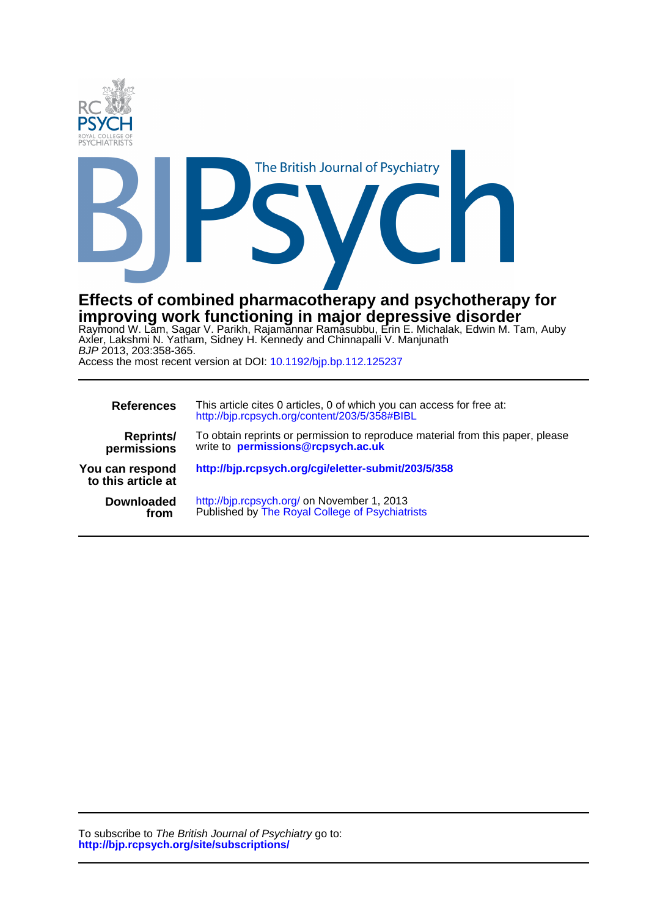

# **improving work functioning in major depressive disorder Effects of combined pharmacotherapy and psychotherapy for**

BJP 2013, 203:358-365. Axler, Lakshmi N. Yatham, Sidney H. Kennedy and Chinnapalli V. Manjunath Raymond W. Lam, Sagar V. Parikh, Rajamannar Ramasubbu, Erin E. Michalak, Edwin M. Tam, Auby

Access the most recent version at DOI: 10.1192/bjp.bp.112.125237

| <b>References</b>                     | This article cites 0 articles, 0 of which you can access for free at:<br>http://bjp.rcpsych.org/content/203/5/358#BIBL |
|---------------------------------------|------------------------------------------------------------------------------------------------------------------------|
| <b>Reprints/</b><br>permissions       | To obtain reprints or permission to reproduce material from this paper, please<br>write to permissions@rcpsych.ac.uk   |
| You can respond<br>to this article at | http://bjp.rcpsych.org/cgi/eletter-submit/203/5/358                                                                    |
| <b>Downloaded</b><br>from             | http://bjp.rcpsych.org/ on November 1, 2013<br>Published by The Royal College of Psychiatrists                         |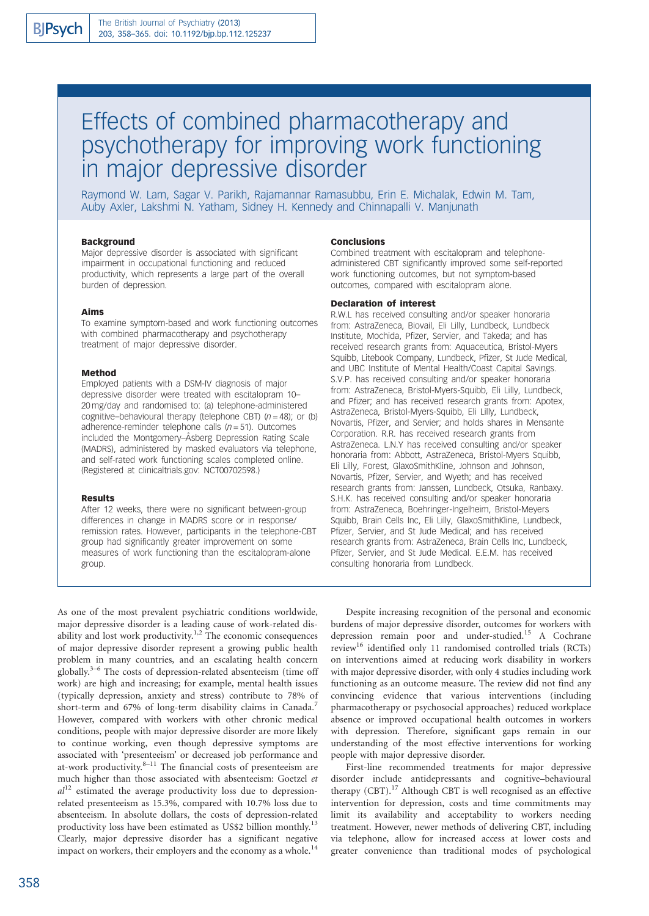# Effects of combined pharmacotherapy and psychotherapy for improving work functioning in major depressive disorder

Raymond W. Lam, Sagar V. Parikh, Rajamannar Ramasubbu, Erin E. Michalak, Edwin M. Tam, Auby Axler, Lakshmi N. Yatham, Sidney H. Kennedy and Chinnapalli V. Manjunath

#### Background

Major depressive disorder is associated with significant impairment in occupational functioning and reduced productivity, which represents a large part of the overall burden of depression.

#### Aims

To examine symptom-based and work functioning outcomes with combined pharmacotherapy and psychotherapy treatment of major depressive disorder.

#### Method

Employed patients with a DSM-IV diagnosis of major depressive disorder were treated with escitalopram 10– 20 mg/day and randomised to: (a) telephone-administered cognitive–behavioural therapy (telephone CBT)  $(n = 48)$ ; or (b) adherence-reminder telephone calls  $(n = 51)$ . Outcomes included the Montgomery–Åsberg Depression Rating Scale (MADRS), administered by masked evaluators via telephone, and self-rated work functioning scales completed online. (Registered at clinicaltrials.gov: NCT00702598.)

#### Results

After 12 weeks, there were no significant between-group differences in change in MADRS score or in response/ remission rates. However, participants in the telephone-CBT group had significantly greater improvement on some measures of work functioning than the escitalopram-alone group.

#### Conclusions

Combined treatment with escitalopram and telephoneadministered CBT significantly improved some self-reported work functioning outcomes, but not symptom-based outcomes, compared with escitalopram alone.

# Declaration of interest

R.W.L has received consulting and/or speaker honoraria from: AstraZeneca, Biovail, Eli Lilly, Lundbeck, Lundbeck Institute, Mochida, Pfizer, Servier, and Takeda; and has received research grants from: Aquaceutica, Bristol-Myers Squibb, Litebook Company, Lundbeck, Pfizer, St Jude Medical, and UBC Institute of Mental Health/Coast Capital Savings. S.V.P. has received consulting and/or speaker honoraria from: AstraZeneca, Bristol-Myers-Squibb, Eli Lilly, Lundbeck, and Pfizer; and has received research grants from: Apotex, AstraZeneca, Bristol-Myers-Squibb, Eli Lilly, Lundbeck, Novartis, Pfizer, and Servier; and holds shares in Mensante Corporation. R.R. has received research grants from AstraZeneca. L.N.Y has received consulting and/or speaker honoraria from: Abbott, AstraZeneca, Bristol-Myers Squibb, Eli Lilly, Forest, GlaxoSmithKline, Johnson and Johnson, Novartis, Pfizer, Servier, and Wyeth; and has received research grants from: Janssen, Lundbeck, Otsuka, Ranbaxy. S.H.K. has received consulting and/or speaker honoraria from: AstraZeneca, Boehringer-Ingelheim, Bristol-Meyers Squibb, Brain Cells Inc, Eli Lilly, GlaxoSmithKline, Lundbeck, Pfizer, Servier, and St Jude Medical; and has received research grants from: AstraZeneca, Brain Cells Inc, Lundbeck, Pfizer, Servier, and St Jude Medical. E.E.M. has received consulting honoraria from Lundbeck.

As one of the most prevalent psychiatric conditions worldwide, major depressive disorder is a leading cause of work-related disability and lost work productivity.<sup>1,2</sup> The economic consequences of major depressive disorder represent a growing public health problem in many countries, and an escalating health concern globally.3–6 The costs of depression-related absenteeism (time off work) are high and increasing; for example, mental health issues (typically depression, anxiety and stress) contribute to 78% of short-term and 67% of long-term disability claims in Canada.<sup>7</sup> However, compared with workers with other chronic medical conditions, people with major depressive disorder are more likely to continue working, even though depressive symptoms are associated with 'presenteeism' or decreased job performance and at-work productivity. $8-11$  The financial costs of presenteeism are much higher than those associated with absenteeism: Goetzel et  $al<sup>12</sup>$  estimated the average productivity loss due to depressionrelated presenteeism as 15.3%, compared with 10.7% loss due to absenteeism. In absolute dollars, the costs of depression-related productivity loss have been estimated as US\$2 billion monthly.<sup>13</sup> Clearly, major depressive disorder has a significant negative impact on workers, their employers and the economy as a whole.<sup>14</sup>

Despite increasing recognition of the personal and economic burdens of major depressive disorder, outcomes for workers with depression remain poor and under-studied.<sup>15</sup> A Cochrane review<sup>16</sup> identified only 11 randomised controlled trials (RCTs) on interventions aimed at reducing work disability in workers with major depressive disorder, with only 4 studies including work functioning as an outcome measure. The review did not find any convincing evidence that various interventions (including pharmacotherapy or psychosocial approaches) reduced workplace absence or improved occupational health outcomes in workers with depression. Therefore, significant gaps remain in our understanding of the most effective interventions for working people with major depressive disorder.

First-line recommended treatments for major depressive disorder include antidepressants and cognitive–behavioural therapy (CBT).<sup>17</sup> Although CBT is well recognised as an effective intervention for depression, costs and time commitments may limit its availability and acceptability to workers needing treatment. However, newer methods of delivering CBT, including via telephone, allow for increased access at lower costs and greater convenience than traditional modes of psychological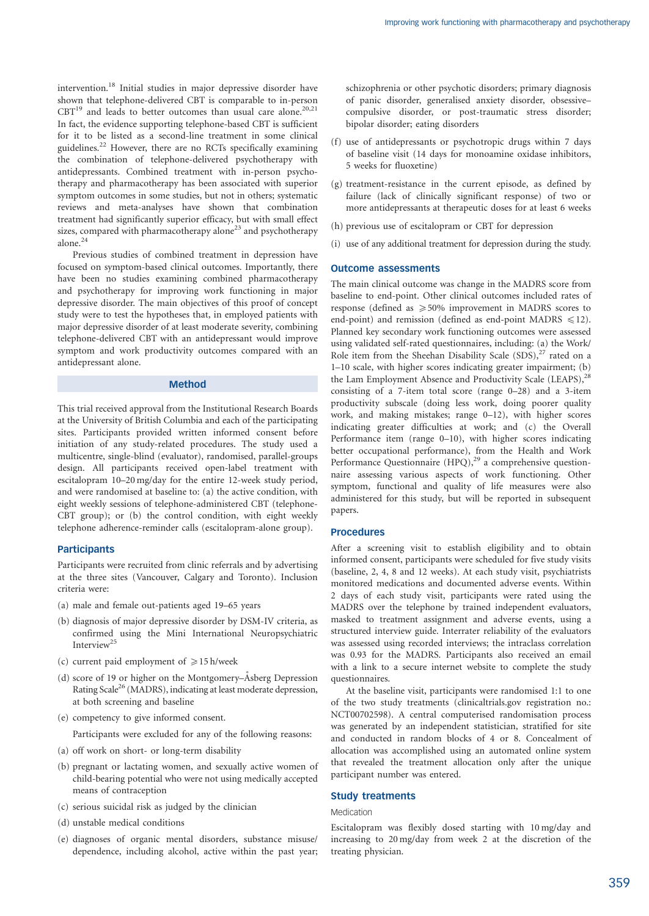intervention.18 Initial studies in major depressive disorder have shown that telephone-delivered CBT is comparable to in-person  $CBT<sup>19</sup>$  and leads to better outcomes than usual care alone.<sup>20,21</sup> In fact, the evidence supporting telephone-based CBT is sufficient for it to be listed as a second-line treatment in some clinical guidelines.<sup>22</sup> However, there are no RCTs specifically examining the combination of telephone-delivered psychotherapy with antidepressants. Combined treatment with in-person psychotherapy and pharmacotherapy has been associated with superior symptom outcomes in some studies, but not in others; systematic reviews and meta-analyses have shown that combination treatment had significantly superior efficacy, but with small effect sizes, compared with pharmacotherapy alone<sup>23</sup> and psychotherapy alone.<sup>24</sup>

Previous studies of combined treatment in depression have focused on symptom-based clinical outcomes. Importantly, there have been no studies examining combined pharmacotherapy and psychotherapy for improving work functioning in major depressive disorder. The main objectives of this proof of concept study were to test the hypotheses that, in employed patients with major depressive disorder of at least moderate severity, combining telephone-delivered CBT with an antidepressant would improve symptom and work productivity outcomes compared with an antidepressant alone.

#### Method

This trial received approval from the Institutional Research Boards at the University of British Columbia and each of the participating sites. Participants provided written informed consent before initiation of any study-related procedures. The study used a multicentre, single-blind (evaluator), randomised, parallel-groups design. All participants received open-label treatment with escitalopram 10–20 mg/day for the entire 12-week study period, and were randomised at baseline to: (a) the active condition, with eight weekly sessions of telephone-administered CBT (telephone-CBT group); or (b) the control condition, with eight weekly telephone adherence-reminder calls (escitalopram-alone group).

# **Participants**

Participants were recruited from clinic referrals and by advertising at the three sites (Vancouver, Calgary and Toronto). Inclusion criteria were:

- (a) male and female out-patients aged 19–65 years
- (b) diagnosis of major depressive disorder by DSM-IV criteria, as confirmed using the Mini International Neuropsychiatric Interview<sup>25</sup>
- (c) current paid employment of  $\geq 15$  h/week
- (d) score of 19 or higher on the Montgomery– $\AA$ sberg Depression Rating Scale<sup>26</sup> (MADRS), indicating at least moderate depression, at both screening and baseline
- (e) competency to give informed consent.

Participants were excluded for any of the following reasons:

- (a) off work on short- or long-term disability
- (b) pregnant or lactating women, and sexually active women of child-bearing potential who were not using medically accepted means of contraception
- (c) serious suicidal risk as judged by the clinician
- (d) unstable medical conditions
- (e) diagnoses of organic mental disorders, substance misuse/ dependence, including alcohol, active within the past year;

schizophrenia or other psychotic disorders; primary diagnosis of panic disorder, generalised anxiety disorder, obsessive– compulsive disorder, or post-traumatic stress disorder; bipolar disorder; eating disorders

- (f) use of antidepressants or psychotropic drugs within 7 days of baseline visit (14 days for monoamine oxidase inhibitors, 5 weeks for fluoxetine)
- (g) treatment-resistance in the current episode, as defined by failure (lack of clinically significant response) of two or more antidepressants at therapeutic doses for at least 6 weeks
- (h) previous use of escitalopram or CBT for depression
- (i) use of any additional treatment for depression during the study.

#### Outcome assessments

The main clinical outcome was change in the MADRS score from baseline to end-point. Other clinical outcomes included rates of response (defined as  $\geq 50\%$  improvement in MADRS scores to end-point) and remission (defined as end-point MADRS  $\leq 12$ ). Planned key secondary work functioning outcomes were assessed using validated self-rated questionnaires, including: (a) the Work/ Role item from the Sheehan Disability Scale  $(SDS)$ ,<sup>27</sup> rated on a 1–10 scale, with higher scores indicating greater impairment; (b) the Lam Employment Absence and Productivity Scale (LEAPS),<sup>28</sup> consisting of a 7-item total score (range 0–28) and a 3-item productivity subscale (doing less work, doing poorer quality work, and making mistakes; range 0–12), with higher scores indicating greater difficulties at work; and (c) the Overall Performance item (range 0–10), with higher scores indicating better occupational performance), from the Health and Work Performance Questionnaire (HPQ),<sup>29</sup> a comprehensive questionnaire assessing various aspects of work functioning. Other symptom, functional and quality of life measures were also administered for this study, but will be reported in subsequent papers.

# Procedures

After a screening visit to establish eligibility and to obtain informed consent, participants were scheduled for five study visits (baseline, 2, 4, 8 and 12 weeks). At each study visit, psychiatrists monitored medications and documented adverse events. Within 2 days of each study visit, participants were rated using the MADRS over the telephone by trained independent evaluators, masked to treatment assignment and adverse events, using a structured interview guide. Interrater reliability of the evaluators was assessed using recorded interviews; the intraclass correlation was 0.93 for the MADRS. Participants also received an email with a link to a secure internet website to complete the study questionnaires.

At the baseline visit, participants were randomised 1:1 to one of the two study treatments (clinicaltrials.gov registration no.: NCT00702598). A central computerised randomisation process was generated by an independent statistician, stratified for site and conducted in random blocks of 4 or 8. Concealment of allocation was accomplished using an automated online system that revealed the treatment allocation only after the unique participant number was entered.

#### Study treatments

#### Medication

Escitalopram was flexibly dosed starting with 10 mg/day and increasing to 20 mg/day from week 2 at the discretion of the treating physician.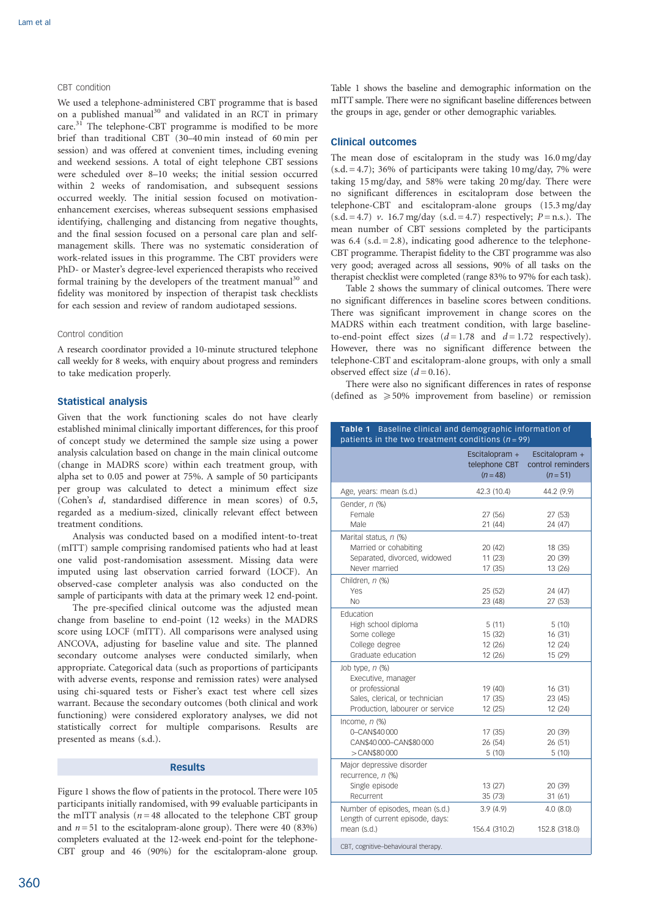#### CBT condition

We used a telephone-administered CBT programme that is based on a published manual<sup>30</sup> and validated in an RCT in primary care.<sup>31</sup> The telephone-CBT programme is modified to be more brief than traditional CBT (30–40 min instead of 60 min per session) and was offered at convenient times, including evening and weekend sessions. A total of eight telephone CBT sessions were scheduled over 8–10 weeks; the initial session occurred within 2 weeks of randomisation, and subsequent sessions occurred weekly. The initial session focused on motivationenhancement exercises, whereas subsequent sessions emphasised identifying, challenging and distancing from negative thoughts, and the final session focused on a personal care plan and selfmanagement skills. There was no systematic consideration of work-related issues in this programme. The CBT providers were PhD- or Master's degree-level experienced therapists who received formal training by the developers of the treatment manual<sup>30</sup> and fidelity was monitored by inspection of therapist task checklists for each session and review of random audiotaped sessions.

#### Control condition

A research coordinator provided a 10-minute structured telephone call weekly for 8 weeks, with enquiry about progress and reminders to take medication properly.

#### Statistical analysis

Given that the work functioning scales do not have clearly established minimal clinically important differences, for this proof of concept study we determined the sample size using a power analysis calculation based on change in the main clinical outcome (change in MADRS score) within each treatment group, with alpha set to 0.05 and power at 75%. A sample of 50 participants per group was calculated to detect a minimum effect size (Cohen's d, standardised difference in mean scores) of 0.5, regarded as a medium-sized, clinically relevant effect between treatment conditions.

Analysis was conducted based on a modified intent-to-treat (mITT) sample comprising randomised patients who had at least one valid post-randomisation assessment. Missing data were imputed using last observation carried forward (LOCF). An observed-case completer analysis was also conducted on the sample of participants with data at the primary week 12 end-point.

The pre-specified clinical outcome was the adjusted mean change from baseline to end-point (12 weeks) in the MADRS score using LOCF (mITT). All comparisons were analysed using ANCOVA, adjusting for baseline value and site. The planned secondary outcome analyses were conducted similarly, when appropriate. Categorical data (such as proportions of participants with adverse events, response and remission rates) were analysed using chi-squared tests or Fisher's exact test where cell sizes warrant. Because the secondary outcomes (both clinical and work functioning) were considered exploratory analyses, we did not statistically correct for multiple comparisons. Results are presented as means (s.d.).

# Results

Figure 1 shows the flow of patients in the protocol. There were 105 participants initially randomised, with 99 evaluable participants in the mITT analysis ( $n = 48$  allocated to the telephone CBT group and  $n = 51$  to the escitalopram-alone group). There were 40 (83%) completers evaluated at the 12-week end-point for the telephone-CBT group and 46 (90%) for the escitalopram-alone group.

Table 1 shows the baseline and demographic information on the mITT sample. There were no significant baseline differences between the groups in age, gender or other demographic variables.

#### Clinical outcomes

The mean dose of escitalopram in the study was 16.0 mg/day (s.d. = 4.7); 36% of participants were taking 10 mg/day, 7% were taking 15 mg/day, and 58% were taking 20 mg/day. There were no significant differences in escitalopram dose between the telephone-CBT and escitalopram-alone groups (15.3 mg/day  $(s.d. = 4.7)$  v. 16.7 mg/day  $(s.d. = 4.7)$  respectively;  $P = n.s.$ ). The mean number of CBT sessions completed by the participants was  $6.4$  (s.d.  $= 2.8$ ), indicating good adherence to the telephone-CBT programme. Therapist fidelity to the CBT programme was also very good; averaged across all sessions, 90% of all tasks on the therapist checklist were completed (range 83% to 97% for each task).

Table 2 shows the summary of clinical outcomes. There were no significant differences in baseline scores between conditions. There was significant improvement in change scores on the MADRS within each treatment condition, with large baselineto-end-point effect sizes  $(d=1.78$  and  $d=1.72$  respectively). However, there was no significant difference between the telephone-CBT and escitalopram-alone groups, with only a small observed effect size  $(d=0.16)$ .

There were also no significant differences in rates of response (defined as  $\geqslant 50\%$  improvement from baseline) or remission

| Table 1 Baseline clinical and demographic information of<br>patients in the two treatment conditions ( $n = 99$ )               |                                               |                                                 |  |  |  |  |  |  |
|---------------------------------------------------------------------------------------------------------------------------------|-----------------------------------------------|-------------------------------------------------|--|--|--|--|--|--|
|                                                                                                                                 | Escitalopram +<br>telephone CBT<br>$(n = 48)$ | Escitalopram +<br>control reminders<br>$(n=51)$ |  |  |  |  |  |  |
| Age, years: mean (s.d.)                                                                                                         | 42.3 (10.4)                                   | 44.2 (9.9)                                      |  |  |  |  |  |  |
| Gender, n (%)<br>Female<br>Male                                                                                                 | 27 (56)<br>21(44)                             | 27 (53)<br>24 (47)                              |  |  |  |  |  |  |
| Marital status, n (%)<br>Married or cohabiting<br>Separated, divorced, widowed<br>Never married                                 | 20 (42)<br>11(23)<br>17 (35)                  | 18 (35)<br>20 (39)<br>13 (26)                   |  |  |  |  |  |  |
| Children, n (%)<br>Yes<br><b>No</b>                                                                                             | 25 (52)<br>23 (48)                            | 24 (47)<br>27 (53)                              |  |  |  |  |  |  |
| Education<br>High school diploma<br>Some college<br>College degree<br>Graduate education                                        | 5(11)<br>15 (32)<br>12 (26)<br>12(26)         | 5(10)<br>16(31)<br>12(24)<br>15 (29)            |  |  |  |  |  |  |
| Job type, $n$ (%)<br>Executive, manager<br>or professional<br>Sales, clerical, or technician<br>Production, labourer or service | 19 (40)<br>17 (35)<br>12 (25)                 | 16 (31)<br>23 (45)<br>12 (24)                   |  |  |  |  |  |  |
| Income, $n$ $(\%)$<br>0-CAN\$40000<br>CAN\$40 000-CAN\$80 000<br>>CAN\$80000                                                    | 17(35)<br>26 (54)<br>5(10)                    | 20 (39)<br>26 (51)<br>5(10)                     |  |  |  |  |  |  |
| Major depressive disorder<br>recurrence, n (%)<br>Single episode<br>Recurrent                                                   | 13(27)<br>35(73)                              | 20 (39)<br>31 (61)                              |  |  |  |  |  |  |
| Number of episodes, mean (s.d.)<br>Length of current episode, days:<br>mean (s.d.)                                              | 3.9(4.9)<br>156.4 (310.2)                     | 4.0(8.0)<br>152.8 (318.0)                       |  |  |  |  |  |  |
| CBT, cognitive-behavioural therapy.                                                                                             |                                               |                                                 |  |  |  |  |  |  |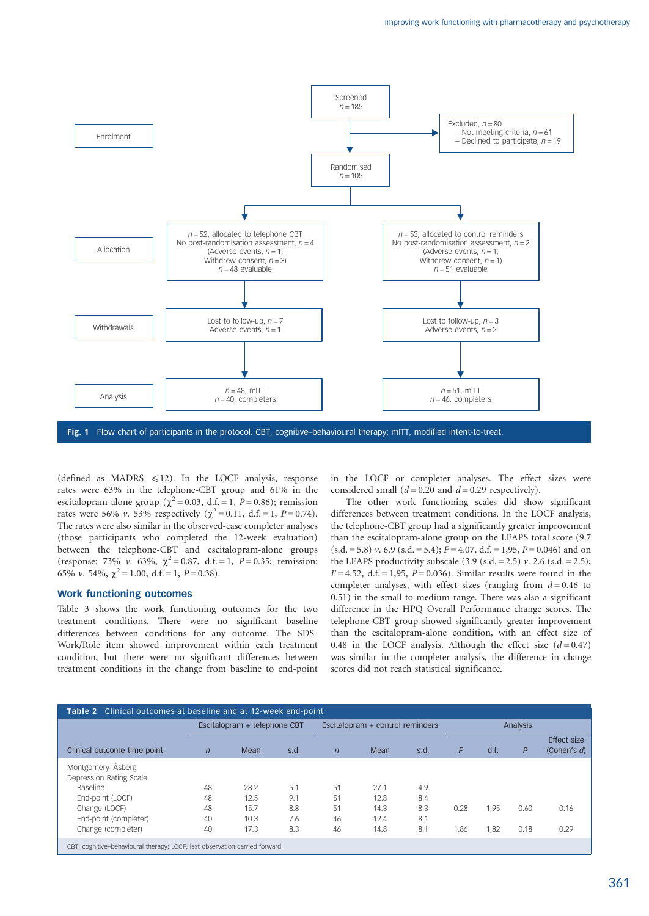

(defined as MADRS  $\leq 12$ ). In the LOCF analysis, response rates were 63% in the telephone-CBT group and 61% in the escitalopram-alone group ( $\chi^2$  = 0.03, d.f. = 1, P = 0.86); remission rates were 56% v. 53% respectively ( $\chi^2 = 0.11$ , d.f. = 1, P = 0.74). The rates were also similar in the observed-case completer analyses (those participants who completed the 12-week evaluation) between the telephone-CBT and escitalopram-alone groups (response: 73% v. 63%,  $\chi^2 = 0.87$ , d.f. = 1, P = 0.35; remission: 65% v. 54%,  $\chi^2 = 1.00$ , d.f. = 1, P = 0.38).

# Work functioning outcomes

Table 3 shows the work functioning outcomes for the two treatment conditions. There were no significant baseline differences between conditions for any outcome. The SDS-Work/Role item showed improvement within each treatment condition, but there were no significant differences between treatment conditions in the change from baseline to end-point in the LOCF or completer analyses. The effect sizes were considered small ( $d = 0.20$  and  $d = 0.29$  respectively).

The other work functioning scales did show significant differences between treatment conditions. In the LOCF analysis, the telephone-CBT group had a significantly greater improvement than the escitalopram-alone group on the LEAPS total score (9.7  $(s.d. = 5.8)$  v. 6.9  $(s.d. = 5.4)$ ;  $F = 4.07$ ,  $d.f. = 1.95$ ,  $P = 0.046$ ) and on the LEAPS productivity subscale  $(3.9 \text{ (s.d.} = 2.5) \text{ v. } 2.6 \text{ (s.d.} = 2.5);$  $F = 4.52$ , d.f. = 1,95,  $P = 0.036$ ). Similar results were found in the completer analyses, with effect sizes (ranging from  $d = 0.46$  to 0.51) in the small to medium range. There was also a significant difference in the HPQ Overall Performance change scores. The telephone-CBT group showed significantly greater improvement than the escitalopram-alone condition, with an effect size of 0.48 in the LOCF analysis. Although the effect size  $(d=0.47)$ was similar in the completer analysis, the difference in change scores did not reach statistical significance.

| Table 2 Clinical outcomes at baseline and at 12-week end-point              |                              |      |      |                                  |      |      |          |      |      |                                   |
|-----------------------------------------------------------------------------|------------------------------|------|------|----------------------------------|------|------|----------|------|------|-----------------------------------|
|                                                                             | Escitalopram + telephone CBT |      |      | Escitalopram + control reminders |      |      | Analysis |      |      |                                   |
| Clinical outcome time point                                                 | $\overline{n}$               | Mean | s.d. | $\sqrt{n}$                       | Mean | s.d. | F        | d.f. | P    | <b>Effect size</b><br>(Cohen's d) |
| Montgomery-Åsberg                                                           |                              |      |      |                                  |      |      |          |      |      |                                   |
| Depression Rating Scale                                                     |                              |      |      |                                  |      |      |          |      |      |                                   |
| <b>Baseline</b>                                                             | 48                           | 28.2 | 5.1  | 51                               | 27.1 | 4.9  |          |      |      |                                   |
| End-point (LOCF)                                                            | 48                           | 12.5 | 9.1  | 51                               | 12.8 | 8.4  |          |      |      |                                   |
| Change (LOCF)                                                               | 48                           | 15.7 | 8.8  | 51                               | 14.3 | 8.3  | 0.28     | 1,95 | 0.60 | 0.16                              |
| End-point (completer)                                                       | 40                           | 10.3 | 7.6  | 46                               | 12.4 | 8.1  |          |      |      |                                   |
| Change (completer)                                                          | 40                           | 17.3 | 8.3  | 46                               | 14.8 | 8.1  | 1.86     | 1.82 | 0.18 | 0.29                              |
| CBT, cognitive-behavioural therapy; LOCF, last observation carried forward. |                              |      |      |                                  |      |      |          |      |      |                                   |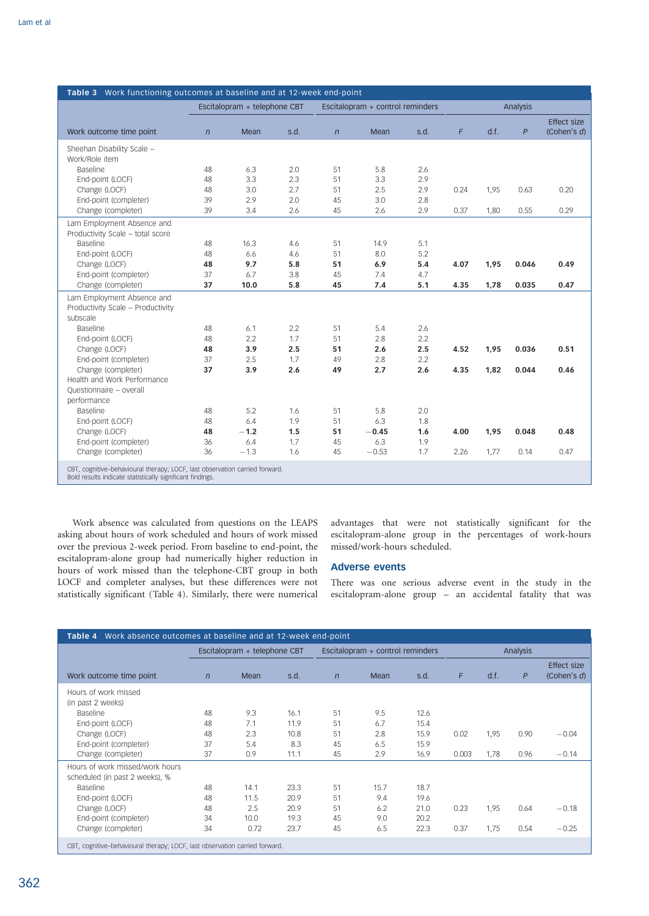| Table 3 Work functioning outcomes at baseline and at 12-week end-point                                                                   |                                                                  |        |      |                |         |          |      |      |              |             |
|------------------------------------------------------------------------------------------------------------------------------------------|------------------------------------------------------------------|--------|------|----------------|---------|----------|------|------|--------------|-------------|
|                                                                                                                                          | Escitalopram + telephone CBT<br>Escitalopram + control reminders |        |      |                |         | Analysis |      |      |              |             |
|                                                                                                                                          |                                                                  |        |      |                |         |          |      |      |              | Effect size |
| Work outcome time point                                                                                                                  | $\overline{n}$                                                   | Mean   | s.d. | $\overline{n}$ | Mean    | s.d.     | F    | d.f. | $\mathsf{P}$ | (Cohen's d) |
| Sheehan Disability Scale -                                                                                                               |                                                                  |        |      |                |         |          |      |      |              |             |
| Work/Role item                                                                                                                           |                                                                  |        |      |                |         |          |      |      |              |             |
| <b>Baseline</b>                                                                                                                          | 48                                                               | 6.3    | 2.0  | 51             | 5.8     | 2.6      |      |      |              |             |
| End-point (LOCF)                                                                                                                         | 48                                                               | 3.3    | 2.3  | 51             | 3.3     | 2.9      |      |      |              |             |
| Change (LOCF)                                                                                                                            | 48                                                               | 3.0    | 2.7  | 51             | 2.5     | 2.9      | 0.24 | 1,95 | 0.63         | 0.20        |
| End-point (completer)                                                                                                                    | 39                                                               | 2.9    | 2.0  | 45             | 3.0     | 2.8      |      |      |              |             |
| Change (completer)                                                                                                                       | 39                                                               | 3.4    | 2.6  | 45             | 2.6     | 2.9      | 0.37 | 1,80 | 0.55         | 0.29        |
| Lam Employment Absence and                                                                                                               |                                                                  |        |      |                |         |          |      |      |              |             |
| Productivity Scale - total score                                                                                                         |                                                                  |        |      |                |         |          |      |      |              |             |
| Baseline                                                                                                                                 | 48                                                               | 16.3   | 4.6  | 51             | 14.9    | 5.1      |      |      |              |             |
| End-point (LOCF)                                                                                                                         | 48                                                               | 6.6    | 4.6  | 51             | 8.0     | 5.2      |      |      |              |             |
| Change (LOCF)                                                                                                                            | 48                                                               | 9.7    | 5.8  | 51             | 6.9     | 5.4      | 4.07 | 1,95 | 0.046        | 0.49        |
| End-point (completer)                                                                                                                    | 37                                                               | 6.7    | 3.8  | 45             | 7.4     | 4.7      |      |      |              |             |
| Change (completer)                                                                                                                       | 37                                                               | 10.0   | 5.8  | 45             | 7.4     | 5.1      | 4.35 | 1,78 | 0.035        | 0.47        |
| Lam Employment Absence and                                                                                                               |                                                                  |        |      |                |         |          |      |      |              |             |
| Productivity Scale - Productivity                                                                                                        |                                                                  |        |      |                |         |          |      |      |              |             |
| subscale                                                                                                                                 |                                                                  |        |      |                |         |          |      |      |              |             |
| <b>Baseline</b>                                                                                                                          | 48                                                               | 6.1    | 2.2  | 51             | 5.4     | 2.6      |      |      |              |             |
| End-point (LOCF)                                                                                                                         | 48                                                               | 2.2    | 1.7  | 51             | 2.8     | 2.2      |      |      |              |             |
| Change (LOCF)                                                                                                                            | 48                                                               | 3.9    | 2.5  | 51             | 2.6     | 2.5      | 4.52 | 1,95 | 0.036        | 0.51        |
| End-point (completer)                                                                                                                    | 37                                                               | 2.5    | 1.7  | 49             | 2.8     | 2.2      |      |      |              |             |
| Change (completer)                                                                                                                       | 37                                                               | 3.9    | 2.6  | 49             | 2.7     | 2.6      | 4.35 | 1,82 | 0.044        | 0.46        |
| Health and Work Performance                                                                                                              |                                                                  |        |      |                |         |          |      |      |              |             |
| Ouestionnaire - overall                                                                                                                  |                                                                  |        |      |                |         |          |      |      |              |             |
| performance                                                                                                                              |                                                                  |        |      |                |         |          |      |      |              |             |
| Baseline                                                                                                                                 | 48                                                               | 5.2    | 1.6  | 51             | 5.8     | 2.0      |      |      |              |             |
| End-point (LOCF)                                                                                                                         | 48                                                               | 6.4    | 1.9  | 51             | 6.3     | 1.8      |      |      |              |             |
| Change (LOCF)                                                                                                                            | 48                                                               | $-1.2$ | 1.5  | 51             | $-0.45$ | 1.6      | 4.00 | 1,95 | 0.048        | 0.48        |
| End-point (completer)                                                                                                                    | 36                                                               | 6.4    | 1.7  | 45             | 6.3     | 1.9      |      |      |              |             |
| Change (completer)                                                                                                                       | 36                                                               | $-1.3$ | 1.6  | 45             | $-0.53$ | 1.7      | 2.26 | 1.77 | 0.14         | 0.47        |
| CBT, cognitive-behavioural therapy; LOCF, last observation carried forward.<br>Bold results indicate statistically significant findings. |                                                                  |        |      |                |         |          |      |      |              |             |

Work absence was calculated from questions on the LEAPS asking about hours of work scheduled and hours of work missed over the previous 2-week period. From baseline to end-point, the escitalopram-alone group had numerically higher reduction in hours of work missed than the telephone-CBT group in both LOCF and completer analyses, but these differences were not statistically significant (Table 4). Similarly, there were numerical

advantages that were not statistically significant for the escitalopram-alone group in the percentages of work-hours missed/work-hours scheduled.

# Adverse events

There was one serious adverse event in the study in the escitalopram-alone group – an accidental fatality that was

| Table 4 Work absence outcomes at baseline and at 12-week end-point          |                              |      |      |                                  |      |      |            |      |      |                                   |
|-----------------------------------------------------------------------------|------------------------------|------|------|----------------------------------|------|------|------------|------|------|-----------------------------------|
|                                                                             | Escitalopram + telephone CBT |      |      | Escitalopram + control reminders |      |      | Analysis   |      |      |                                   |
| Work outcome time point                                                     | $\mathsf{n}$                 | Mean | s.d. | $\mathsf{n}$                     | Mean | s.d. | $\sqrt{F}$ | d.f. | P    | <b>Effect size</b><br>(Cohen's d) |
| Hours of work missed<br>(in past 2 weeks)                                   |                              |      |      |                                  |      |      |            |      |      |                                   |
| Baseline                                                                    | 48                           | 9.3  | 16.1 | 51                               | 9.5  | 12.6 |            |      |      |                                   |
| End-point (LOCF)                                                            | 48                           | 7.1  | 11.9 | 51                               | 6.7  | 15.4 |            |      |      |                                   |
| Change (LOCF)                                                               | 48                           | 2.3  | 10.8 | 51                               | 2.8  | 15.9 | 0.02       | 1,95 | 0.90 | $-0.04$                           |
| End-point (completer)                                                       | 37                           | 5.4  | 8.3  | 45                               | 6.5  | 15.9 |            |      |      |                                   |
| Change (completer)                                                          | 37                           | 0.9  | 11.1 | 45                               | 2.9  | 16.9 | 0.003      | 1,78 | 0.96 | $-0.14$                           |
| Hours of work missed/work hours<br>scheduled (in past 2 weeks), %           |                              |      |      |                                  |      |      |            |      |      |                                   |
| <b>Baseline</b>                                                             | 48                           | 14.1 | 23.3 | 51                               | 15.7 | 18.7 |            |      |      |                                   |
| End-point (LOCF)                                                            | 48                           | 11.5 | 20.9 | 51                               | 9.4  | 19.6 |            |      |      |                                   |
| Change (LOCF)                                                               | 48                           | 2.5  | 20.9 | 51                               | 6.2  | 21.0 | 0.23       | 1,95 | 0.64 | $-0.18$                           |
| End-point (completer)                                                       | 34                           | 10.0 | 19.3 | 45                               | 9.0  | 20.2 |            |      |      |                                   |
| Change (completer)                                                          | 34                           | 0.72 | 23.7 | 45                               | 6.5  | 22.3 | 0.37       | 1,75 | 0.54 | $-0.25$                           |
| CBT, cognitive-behavioural therapy; LOCF, last observation carried forward. |                              |      |      |                                  |      |      |            |      |      |                                   |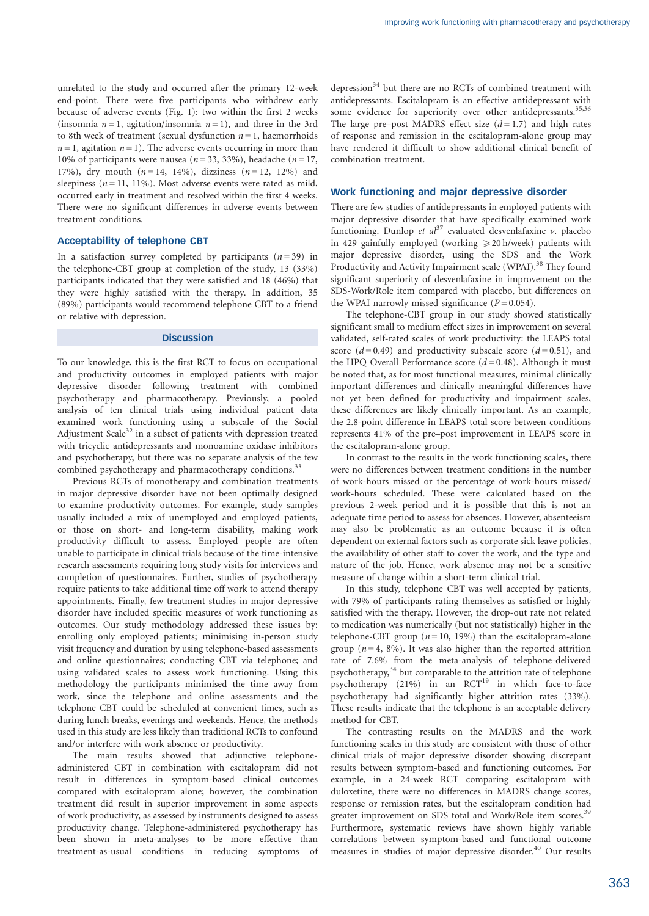unrelated to the study and occurred after the primary 12-week end-point. There were five participants who withdrew early because of adverse events (Fig. 1): two within the first 2 weeks (insomnia  $n = 1$ , agitation/insomnia  $n = 1$ ), and three in the 3rd to 8th week of treatment (sexual dysfunction  $n = 1$ , haemorrhoids  $n = 1$ , agitation  $n = 1$ ). The adverse events occurring in more than 10% of participants were nausea ( $n = 33, 33%$ ), headache ( $n = 17$ , 17%), dry mouth  $(n = 14, 14\%)$ , dizziness  $(n = 12, 12\%)$  and sleepiness ( $n = 11$ , 11%). Most adverse events were rated as mild, occurred early in treatment and resolved within the first 4 weeks. There were no significant differences in adverse events between treatment conditions.

#### Acceptability of telephone CBT

In a satisfaction survey completed by participants  $(n=39)$  in the telephone-CBT group at completion of the study, 13 (33%) participants indicated that they were satisfied and 18 (46%) that they were highly satisfied with the therapy. In addition, 35 (89%) participants would recommend telephone CBT to a friend or relative with depression.

#### **Discussion**

To our knowledge, this is the first RCT to focus on occupational and productivity outcomes in employed patients with major depressive disorder following treatment with combined psychotherapy and pharmacotherapy. Previously, a pooled analysis of ten clinical trials using individual patient data examined work functioning using a subscale of the Social Adjustment Scale $32$  in a subset of patients with depression treated with tricyclic antidepressants and monoamine oxidase inhibitors and psychotherapy, but there was no separate analysis of the few combined psychotherapy and pharmacotherapy conditions.<sup>33</sup>

Previous RCTs of monotherapy and combination treatments in major depressive disorder have not been optimally designed to examine productivity outcomes. For example, study samples usually included a mix of unemployed and employed patients, or those on short- and long-term disability, making work productivity difficult to assess. Employed people are often unable to participate in clinical trials because of the time-intensive research assessments requiring long study visits for interviews and completion of questionnaires. Further, studies of psychotherapy require patients to take additional time off work to attend therapy appointments. Finally, few treatment studies in major depressive disorder have included specific measures of work functioning as outcomes. Our study methodology addressed these issues by: enrolling only employed patients; minimising in-person study visit frequency and duration by using telephone-based assessments and online questionnaires; conducting CBT via telephone; and using validated scales to assess work functioning. Using this methodology the participants minimised the time away from work, since the telephone and online assessments and the telephone CBT could be scheduled at convenient times, such as during lunch breaks, evenings and weekends. Hence, the methods used in this study are less likely than traditional RCTs to confound and/or interfere with work absence or productivity.

The main results showed that adjunctive telephoneadministered CBT in combination with escitalopram did not result in differences in symptom-based clinical outcomes compared with escitalopram alone; however, the combination treatment did result in superior improvement in some aspects of work productivity, as assessed by instruments designed to assess productivity change. Telephone-administered psychotherapy has been shown in meta-analyses to be more effective than treatment-as-usual conditions in reducing symptoms of depression<sup>34</sup> but there are no RCTs of combined treatment with antidepressants. Escitalopram is an effective antidepressant with some evidence for superiority over other antidepressants.<sup>35,36</sup> The large pre–post MADRS effect size  $(d=1.7)$  and high rates of response and remission in the escitalopram-alone group may have rendered it difficult to show additional clinical benefit of combination treatment.

#### Work functioning and major depressive disorder

There are few studies of antidepressants in employed patients with major depressive disorder that have specifically examined work functioning. Dunlop et  $al^{37}$  evaluated desvenlafaxine  $\nu$ . placebo in 429 gainfully employed (working  $\geq$  20 h/week) patients with major depressive disorder, using the SDS and the Work Productivity and Activity Impairment scale (WPAI).<sup>38</sup> They found significant superiority of desvenlafaxine in improvement on the SDS-Work/Role item compared with placebo, but differences on the WPAI narrowly missed significance  $(P = 0.054)$ .

The telephone-CBT group in our study showed statistically significant small to medium effect sizes in improvement on several validated, self-rated scales of work productivity: the LEAPS total score  $(d=0.49)$  and productivity subscale score  $(d=0.51)$ , and the HPQ Overall Performance score  $(d=0.48)$ . Although it must be noted that, as for most functional measures, minimal clinically important differences and clinically meaningful differences have not yet been defined for productivity and impairment scales, these differences are likely clinically important. As an example, the 2.8-point difference in LEAPS total score between conditions represents 41% of the pre–post improvement in LEAPS score in the escitalopram-alone group.

In contrast to the results in the work functioning scales, there were no differences between treatment conditions in the number of work-hours missed or the percentage of work-hours missed/ work-hours scheduled. These were calculated based on the previous 2-week period and it is possible that this is not an adequate time period to assess for absences. However, absenteeism may also be problematic as an outcome because it is often dependent on external factors such as corporate sick leave policies, the availability of other staff to cover the work, and the type and nature of the job. Hence, work absence may not be a sensitive measure of change within a short-term clinical trial.

In this study, telephone CBT was well accepted by patients, with 79% of participants rating themselves as satisfied or highly satisfied with the therapy. However, the drop-out rate not related to medication was numerically (but not statistically) higher in the telephone-CBT group ( $n = 10$ , 19%) than the escitalopram-alone group ( $n = 4$ , 8%). It was also higher than the reported attrition rate of 7.6% from the meta-analysis of telephone-delivered psychotherapy,<sup>34</sup> but comparable to the attrition rate of telephone psychotherapy  $(21\%)$  in an RCT<sup>19</sup> in which face-to-face psychotherapy had significantly higher attrition rates (33%). These results indicate that the telephone is an acceptable delivery method for CBT.

The contrasting results on the MADRS and the work functioning scales in this study are consistent with those of other clinical trials of major depressive disorder showing discrepant results between symptom-based and functioning outcomes. For example, in a 24-week RCT comparing escitalopram with duloxetine, there were no differences in MADRS change scores, response or remission rates, but the escitalopram condition had greater improvement on SDS total and Work/Role item scores.<sup>39</sup> Furthermore, systematic reviews have shown highly variable correlations between symptom-based and functional outcome measures in studies of major depressive disorder.<sup>40</sup> Our results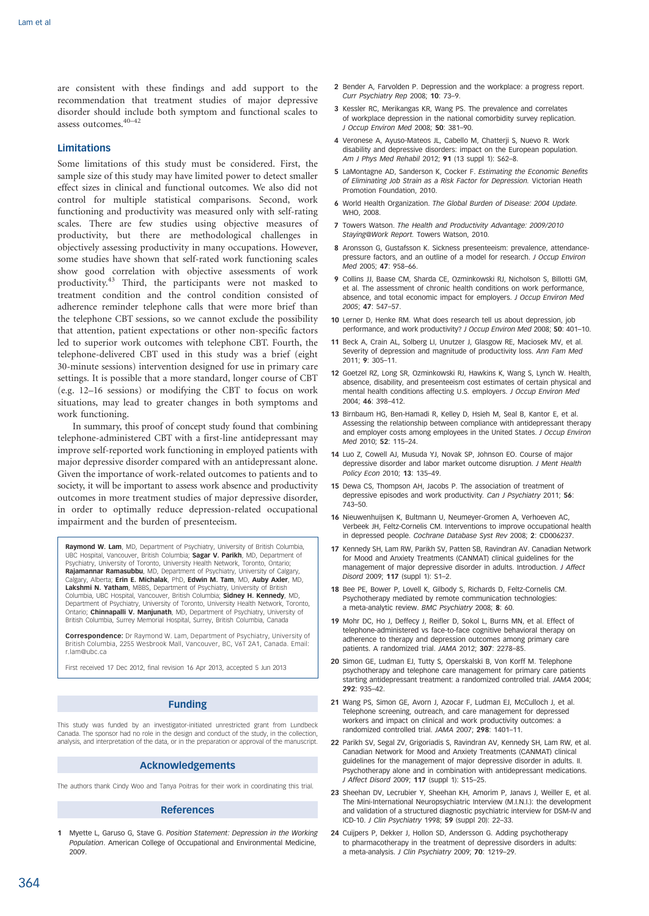are consistent with these findings and add support to the recommendation that treatment studies of major depressive disorder should include both symptom and functional scales to assess outcomes.40–42

## Limitations

Some limitations of this study must be considered. First, the sample size of this study may have limited power to detect smaller effect sizes in clinical and functional outcomes. We also did not control for multiple statistical comparisons. Second, work functioning and productivity was measured only with self-rating scales. There are few studies using objective measures of productivity, but there are methodological challenges in objectively assessing productivity in many occupations. However, some studies have shown that self-rated work functioning scales show good correlation with objective assessments of work productivity.<sup>43</sup> Third, the participants were not masked to treatment condition and the control condition consisted of adherence reminder telephone calls that were more brief than the telephone CBT sessions, so we cannot exclude the possibility that attention, patient expectations or other non-specific factors led to superior work outcomes with telephone CBT. Fourth, the telephone-delivered CBT used in this study was a brief (eight 30-minute sessions) intervention designed for use in primary care settings. It is possible that a more standard, longer course of CBT (e.g. 12–16 sessions) or modifying the CBT to focus on work situations, may lead to greater changes in both symptoms and work functioning.

In summary, this proof of concept study found that combining telephone-administered CBT with a first-line antidepressant may improve self-reported work functioning in employed patients with major depressive disorder compared with an antidepressant alone. Given the importance of work-related outcomes to patients and to society, it will be important to assess work absence and productivity outcomes in more treatment studies of major depressive disorder, in order to optimally reduce depression-related occupational impairment and the burden of presenteeism.

Raymond W. Lam, MD, Department of Psychiatry, University of British Columbia, JBC Hospital, Vancouver, British Columbia; Sagar V. Parikh, MD, Department of Psychiatry, University of Toronto, University Health Network, Toronto, Ontario;<br>**Rajamannar Ramasubbu**, MD, Department of Psychiatry, University of Calgary, Calgary, Alberta; Erin E. Michalak, PhD, Edwin M. Tam, MD, Auby Axler, MD, Lakshmi N. Yatham, MBBS, Department of Psychiatry, University of British Columbia, UBC Hospital, Vancouver, British Columbia; Sidney H. Kennedy, MD, Department of Psychiatry, University of Toronto, University Health Network, Toronto,<br>Ontario; **Chinnapalli V. Manjunath**, MD, Department of Psychiatry, University of British Columbia, Surrey Memorial Hospital, Surrey, British Columbia, Canada

Correspondence: Dr Raymond W. Lam, Department of Psychiatry, University of British Columbia, 2255 Wesbrook Mall, Vancouver, BC, V6T 2A1, Canada. Email: r.lam@ubc.ca

First received 17 Dec 2012, final revision 16 Apr 2013, accepted 5 Jun 2013

#### Funding

This study was funded by an investigator-initiated unrestricted grant from Lundbeck Canada. The sponsor had no role in the design and conduct of the study, in the collection, analysis, and interpretation of the data, or in the preparation or approval of the manuscript.

#### Acknowledgements

The authors thank Cindy Woo and Tanya Poitras for their work in coordinating this trial.

#### References

Myette L, Garuso G, Stave G. Position Statement: Depression in the Working Population. American College of Occupational and Environmental Medicine, 2009.

- 2 Bender A, Farvolden P. Depression and the workplace: a progress report. Curr Psychiatry Rep 2008; 10: 73–9.
- 3 Kessler RC, Merikangas KR, Wang PS. The prevalence and correlates of workplace depression in the national comorbidity survey replication. J Occup Environ Med 2008; 50: 381–90.
- 4 Veronese A, Ayuso-Mateos JL, Cabello M, Chatterji S, Nuevo R. Work disability and depressive disorders: impact on the European population. Am J Phys Med Rehabil 2012; 91 (13 suppl 1): S62–8.
- 5 LaMontagne AD, Sanderson K, Cocker F. Estimating the Economic Benefits of Eliminating Job Strain as a Risk Factor for Depression. Victorian Heath Promotion Foundation, 2010.
- 6 World Health Organization. The Global Burden of Disease: 2004 Update. WHO, 2008.
- 7 Towers Watson. The Health and Productivity Advantage: 2009/2010 Staying@Work Report. Towers Watson, 2010.
- 8 Aronsson G, Gustafsson K. Sickness presenteeism: prevalence, attendancepressure factors, and an outline of a model for research. J Occup Environ Med 2005; 47: 958–66.
- 9 Collins JJ, Baase CM, Sharda CE, Ozminkowski RJ, Nicholson S, Billotti GM, et al. The assessment of chronic health conditions on work performance, absence, and total economic impact for employers. J Occup Environ Med 2005; 47: 547–57.
- 10 Lerner D, Henke RM. What does research tell us about depression, job performance, and work productivity? J Occup Environ Med 2008; 50: 401-10.
- 11 Beck A, Crain AL, Solberg LI, Unutzer J, Glasgow RE, Maciosek MV, et al. Severity of depression and magnitude of productivity loss. Ann Fam Med 2011; 9: 305–11.
- 12 Goetzel RZ, Long SR, Ozminkowski RJ, Hawkins K, Wang S, Lynch W. Health, absence, disability, and presenteeism cost estimates of certain physical and mental health conditions affecting U.S. employers. J Occup Environ Med 2004; 46: 398–412.
- 13 Birnbaum HG, Ben-Hamadi R, Kelley D, Hsieh M, Seal B, Kantor E, et al. Assessing the relationship between compliance with antidepressant therapy and employer costs among employees in the United States. J Occup Environ Med 2010; 52: 115–24.
- 14 Luo Z, Cowell AJ, Musuda YJ, Novak SP, Johnson EO. Course of major depressive disorder and labor market outcome disruption. J Ment Health Policy Econ 2010; 13: 135–49.
- 15 Dewa CS, Thompson AH, Jacobs P. The association of treatment of depressive episodes and work productivity. Can J Psychiatry 2011; 56: 743–50.
- 16 Nieuwenhuijsen K, Bultmann U, Neumeyer-Gromen A, Verhoeven AC, Verbeek JH, Feltz-Cornelis CM. Interventions to improve occupational health in depressed people. Cochrane Database Syst Rev 2008; 2: CD006237.
- 17 Kennedy SH, Lam RW, Parikh SV, Patten SB, Ravindran AV. Canadian Network for Mood and Anxiety Treatments (CANMAT) clinical guidelines for the management of major depressive disorder in adults. Introduction. J Affect Disord 2009; 117 (suppl 1): S1–2.
- 18 Bee PE, Bower P, Lovell K, Gilbody S, Richards D, Feltz-Cornelis CM. Psychotherapy mediated by remote communication technologies: a meta-analytic review. BMC Psychiatry 2008; 8: 60.
- 19 Mohr DC, Ho J, Deffecy J, Reifler D, Sokol L, Burns MN, et al. Effect of telephone-administered vs face-to-face cognitive behavioral therapy on adherence to therapy and depression outcomes among primary care patients. A randomized trial. JAMA 2012; 307: 2278–85.
- 20 Simon GE, Ludman EJ, Tutty S, Operskalski B, Von Korff M. Telephone psychotherapy and telephone care management for primary care patients starting antidepressant treatment: a randomized controlled trial. JAMA 2004; 292: 935–42.
- 21 Wang PS, Simon GE, Avorn J, Azocar F, Ludman EJ, McCulloch J, et al. Telephone screening, outreach, and care management for depressed workers and impact on clinical and work productivity outcomes: a randomized controlled trial. JAMA 2007; 298: 1401–11.
- 22 Parikh SV, Segal ZV, Grigoriadis S, Ravindran AV, Kennedy SH, Lam RW, et al. Canadian Network for Mood and Anxiety Treatments (CANMAT) clinical guidelines for the management of major depressive disorder in adults. II. Psychotherapy alone and in combination with antidepressant medications. J Affect Disord 2009; 117 (suppl 1): S15–25.
- 23 Sheehan DV, Lecrubier Y, Sheehan KH, Amorim P, Janavs J, Weiller E, et al. The Mini-International Neuropsychiatric Interview (M.I.N.I.): the development and validation of a structured diagnostic psychiatric interview for DSM-IV and ICD-10. J Clin Psychiatry 1998; 59 (suppl 20): 22–33.
- 24 Cuijpers P, Dekker J, Hollon SD, Andersson G. Adding psychotherapy to pharmacotherapy in the treatment of depressive disorders in adults: a meta-analysis. J Clin Psychiatry 2009; 70: 1219–29.